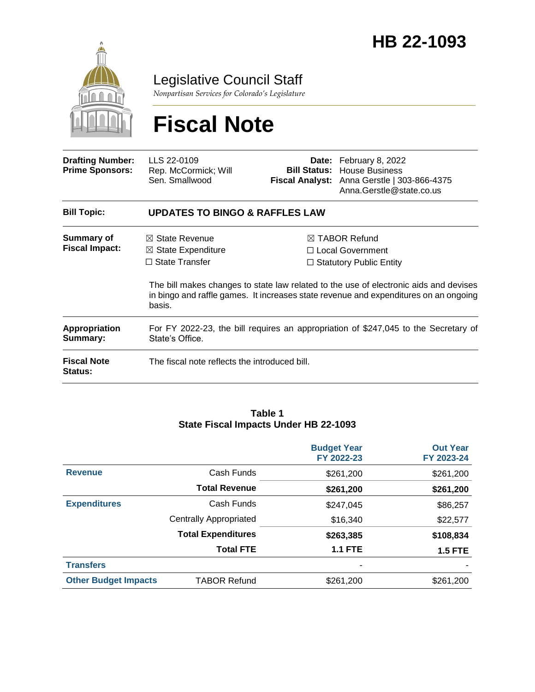

Legislative Council Staff

*Nonpartisan Services for Colorado's Legislature*

# **Fiscal Note**

| <b>Drafting Number:</b><br><b>Prime Sponsors:</b> | LLS 22-0109<br>Rep. McCormick; Will<br>Sen. Smallwood                                                  |  | <b>Date:</b> February 8, 2022<br><b>Bill Status:</b> House Business<br>Fiscal Analyst: Anna Gerstle   303-866-4375<br>Anna.Gerstle@state.co.us                                                                                                                    |  |  |  |
|---------------------------------------------------|--------------------------------------------------------------------------------------------------------|--|-------------------------------------------------------------------------------------------------------------------------------------------------------------------------------------------------------------------------------------------------------------------|--|--|--|
| <b>Bill Topic:</b>                                | <b>UPDATES TO BINGO &amp; RAFFLES LAW</b>                                                              |  |                                                                                                                                                                                                                                                                   |  |  |  |
| Summary of<br><b>Fiscal Impact:</b>               | $\boxtimes$ State Revenue<br>$\boxtimes$ State Expenditure<br>$\Box$ State Transfer<br>basis.          |  | $\boxtimes$ TABOR Refund<br>□ Local Government<br>$\Box$ Statutory Public Entity<br>The bill makes changes to state law related to the use of electronic aids and devises<br>in bingo and raffle games. It increases state revenue and expenditures on an ongoing |  |  |  |
| <b>Appropriation</b><br>Summary:                  | For FY 2022-23, the bill requires an appropriation of \$247,045 to the Secretary of<br>State's Office. |  |                                                                                                                                                                                                                                                                   |  |  |  |
| <b>Fiscal Note</b><br><b>Status:</b>              | The fiscal note reflects the introduced bill.                                                          |  |                                                                                                                                                                                                                                                                   |  |  |  |

#### **Table 1 State Fiscal Impacts Under HB 22-1093**

|                             |                               | <b>Budget Year</b><br>FY 2022-23 | <b>Out Year</b><br>FY 2023-24 |
|-----------------------------|-------------------------------|----------------------------------|-------------------------------|
| <b>Revenue</b>              | Cash Funds                    | \$261,200                        | \$261,200                     |
|                             | <b>Total Revenue</b>          | \$261,200                        | \$261,200                     |
| <b>Expenditures</b>         | Cash Funds                    | \$247,045                        | \$86,257                      |
|                             | <b>Centrally Appropriated</b> | \$16,340                         | \$22,577                      |
|                             | <b>Total Expenditures</b>     | \$263,385                        | \$108,834                     |
|                             | <b>Total FTE</b>              | <b>1.1 FTE</b>                   | <b>1.5 FTE</b>                |
| <b>Transfers</b>            |                               | $\overline{\phantom{a}}$         |                               |
| <b>Other Budget Impacts</b> | <b>TABOR Refund</b>           | \$261,200                        | \$261,200                     |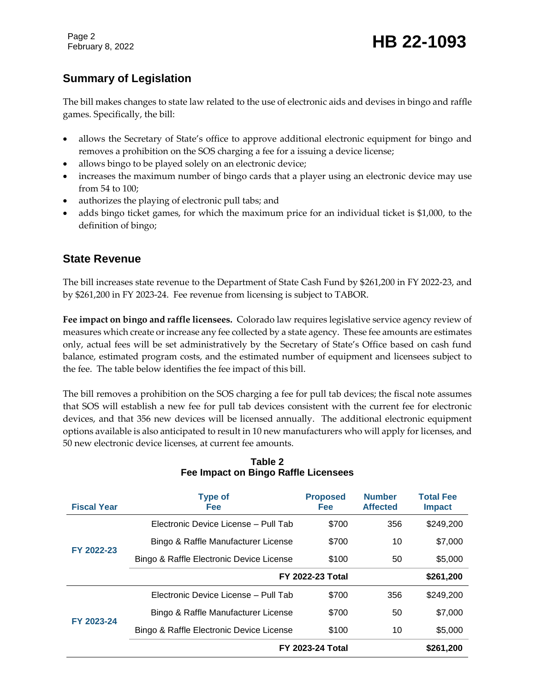Page 2

# **Summary of Legislation**

The bill makes changes to state law related to the use of electronic aids and devises in bingo and raffle games. Specifically, the bill:

- allows the Secretary of State's office to approve additional electronic equipment for bingo and removes a prohibition on the SOS charging a fee for a issuing a device license;
- allows bingo to be played solely on an electronic device;
- increases the maximum number of bingo cards that a player using an electronic device may use from 54 to 100;
- authorizes the playing of electronic pull tabs; and
- adds bingo ticket games, for which the maximum price for an individual ticket is \$1,000, to the definition of bingo;

## **State Revenue**

The bill increases state revenue to the Department of State Cash Fund by \$261,200 in FY 2022-23, and by \$261,200 in FY 2023-24. Fee revenue from licensing is subject to TABOR.

**Fee impact on bingo and raffle licensees.** Colorado law requires legislative service agency review of measures which create or increase any fee collected by a state agency. These fee amounts are estimates only, actual fees will be set administratively by the Secretary of State's Office based on cash fund balance, estimated program costs, and the estimated number of equipment and licensees subject to the fee. The table below identifies the fee impact of this bill.

The bill removes a prohibition on the SOS charging a fee for pull tab devices; the fiscal note assumes that SOS will establish a new fee for pull tab devices consistent with the current fee for electronic devices, and that 356 new devices will be licensed annually. The additional electronic equipment options available is also anticipated to result in 10 new manufacturers who will apply for licenses, and 50 new electronic device licenses, at current fee amounts.

| <b>Fiscal Year</b> | <b>Type of</b><br><b>Fee</b>             | <b>Proposed</b><br>Fee | <b>Number</b><br><b>Affected</b> | <b>Total Fee</b><br><b>Impact</b> |
|--------------------|------------------------------------------|------------------------|----------------------------------|-----------------------------------|
| FY 2022-23         | Electronic Device License - Pull Tab     | \$700                  | 356                              | \$249,200                         |
|                    | Bingo & Raffle Manufacturer License      | \$700                  | 10                               | \$7,000                           |
|                    | Bingo & Raffle Electronic Device License | \$100                  | 50                               | \$5,000                           |
|                    | <b>FY 2022-23 Total</b>                  |                        |                                  | \$261,200                         |
| FY 2023-24         | Electronic Device License - Pull Tab     | \$700                  | 356                              | \$249,200                         |
|                    | Bingo & Raffle Manufacturer License      | \$700                  | 50                               | \$7,000                           |
|                    | Bingo & Raffle Electronic Device License | \$100                  | 10                               | \$5,000                           |
|                    | <b>FY 2023-24 Total</b>                  |                        |                                  | \$261,200                         |

#### **Table 2 Fee Impact on Bingo Raffle Licensees**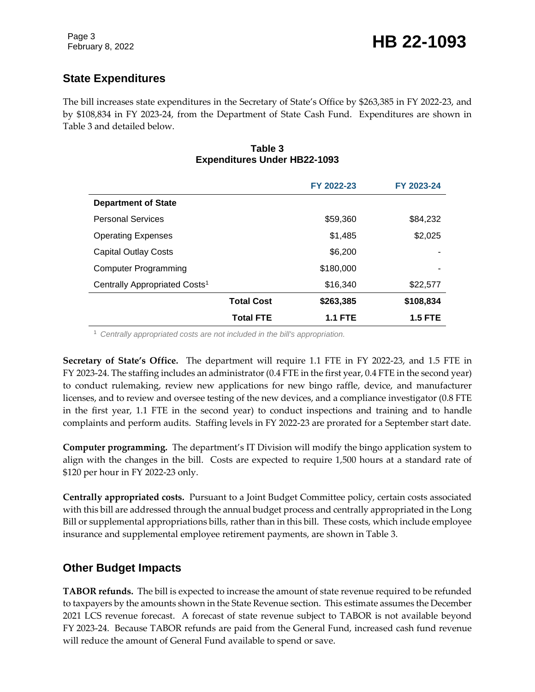# **State Expenditures**

The bill increases state expenditures in the Secretary of State's Office by \$263,385 in FY 2022-23, and by \$108,834 in FY 2023-24, from the Department of State Cash Fund. Expenditures are shown in Table 3 and detailed below.

#### **Table 3 Expenditures Under HB22-1093**

|                                           |                   | FY 2022-23     | FY 2023-24     |
|-------------------------------------------|-------------------|----------------|----------------|
| <b>Department of State</b>                |                   |                |                |
| <b>Personal Services</b>                  |                   | \$59,360       | \$84,232       |
| <b>Operating Expenses</b>                 |                   | \$1,485        | \$2,025        |
| <b>Capital Outlay Costs</b>               |                   | \$6,200        |                |
| Computer Programming                      |                   | \$180,000      | ۰              |
| Centrally Appropriated Costs <sup>1</sup> |                   | \$16,340       | \$22,577       |
|                                           | <b>Total Cost</b> | \$263,385      | \$108,834      |
|                                           | <b>Total FTE</b>  | <b>1.1 FTE</b> | <b>1.5 FTE</b> |

<sup>1</sup> *Centrally appropriated costs are not included in the bill's appropriation.*

**Secretary of State's Office.** The department will require 1.1 FTE in FY 2022-23, and 1.5 FTE in FY 2023-24. The staffing includes an administrator (0.4 FTE in the first year, 0.4 FTE in the second year) to conduct rulemaking, review new applications for new bingo raffle, device, and manufacturer licenses, and to review and oversee testing of the new devices, and a compliance investigator (0.8 FTE in the first year, 1.1 FTE in the second year) to conduct inspections and training and to handle complaints and perform audits. Staffing levels in FY 2022-23 are prorated for a September start date.

**Computer programming.** The department's IT Division will modify the bingo application system to align with the changes in the bill. Costs are expected to require 1,500 hours at a standard rate of \$120 per hour in FY 2022-23 only.

**Centrally appropriated costs.** Pursuant to a Joint Budget Committee policy, certain costs associated with this bill are addressed through the annual budget process and centrally appropriated in the Long Bill or supplemental appropriations bills, rather than in this bill. These costs, which include employee insurance and supplemental employee retirement payments, are shown in Table 3.

## **Other Budget Impacts**

**TABOR refunds.** The bill is expected to increase the amount of state revenue required to be refunded to taxpayers by the amounts shown in the State Revenue section. This estimate assumes the December 2021 LCS revenue forecast. A forecast of state revenue subject to TABOR is not available beyond FY 2023-24. Because TABOR refunds are paid from the General Fund, increased cash fund revenue will reduce the amount of General Fund available to spend or save.